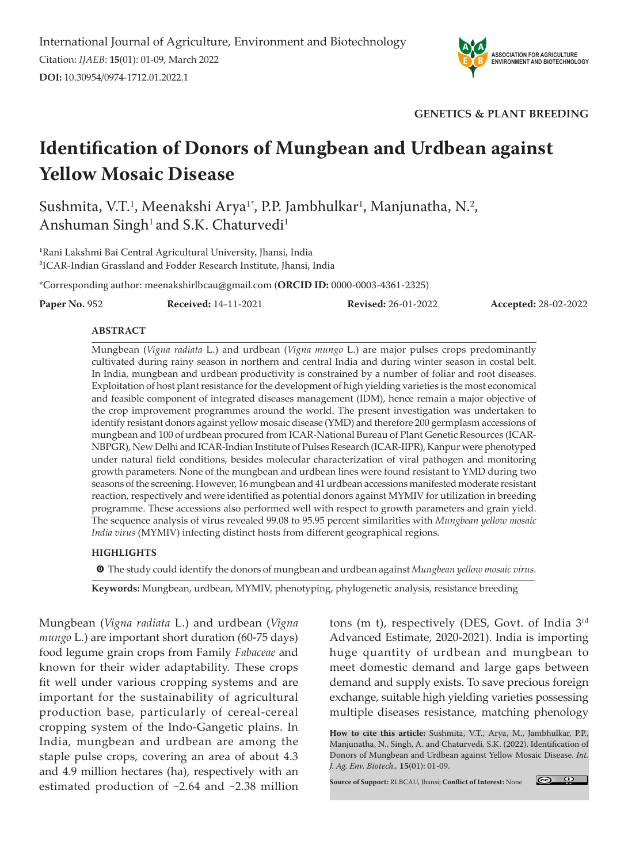

**GENETICS & PLANT BREEDING**

# **Identification of Donors of Mungbean and Urdbean against Yellow Mosaic Disease**

Sushmita, V.T.<sup>1</sup>, Meenakshi Arya<sup>1</sup>\*, P.P. Jambhulkar<sup>1</sup>, Manjunatha, N.<sup>2</sup>, Anshuman Singh<sup>1</sup> and S.K. Chaturvedi<sup>1</sup>

**1** Rani Lakshmi Bai Central Agricultural University, Jhansi, India **2** ICAR-Indian Grassland and Fodder Research Institute, Jhansi, India

\*Corresponding author: meenakshirlbcau@gmail.com (**ORCID ID:** 0000-0003-4361-2325)

**Paper No.** 952 **Received:** 14-11-2021 **Revised:** 26-01-2022 **Accepted:** 28-02-2022

#### **ABSTRACT**

Mungbean (*Vigna radiata* L.) and urdbean (*Vigna mungo* L.) are major pulses crops predominantly cultivated during rainy season in northern and central India and during winter season in costal belt. In India, mungbean and urdbean productivity is constrained by a number of foliar and root diseases. Exploitation of host plant resistance for the development of high yielding varieties is the most economical and feasible component of integrated diseases management (IDM), hence remain a major objective of the crop improvement programmes around the world. The present investigation was undertaken to identify resistant donors against yellow mosaic disease (YMD) and therefore 200 germplasm accessions of mungbean and 100 of urdbean procured from ICAR-National Bureau of Plant Genetic Resources (ICAR-NBPGR), New Delhi and ICAR-Indian Institute of Pulses Research (ICAR-IIPR), Kanpur were phenotyped under natural field conditions, besides molecular characterization of viral pathogen and monitoring growth parameters. None of the mungbean and urdbean lines were found resistant to YMD during two seasons of the screening. However, 16 mungbean and 41 urdbean accessions manifested moderate resistant reaction, respectively and were identified as potential donors against MYMIV for utilization in breeding programme. These accessions also performed well with respect to growth parameters and grain yield. The sequence analysis of virus revealed 99.08 to 95.95 percent similarities with *Mungbean yellow mosaic India virus* (MYMIV) infecting distinct hosts from different geographical regions.

#### **HIGHLIGHTS**

m The study could identify the donors of mungbean and urdbean against *Mungbean yellow mosaic virus.*

**Keywords:** Mungbean, urdbean, MYMIV, phenotyping, phylogenetic analysis, resistance breeding

Mungbean (*Vigna radiata* L.) and urdbean (*Vigna mungo* L.) are important short duration (60-75 days) food legume grain crops from Family *Fabaceae* and known for their wider adaptability. These crops fit well under various cropping systems and are important for the sustainability of agricultural production base, particularly of cereal-cereal cropping system of the Indo-Gangetic plains. In India, mungbean and urdbean are among the staple pulse crops, covering an area of about 4.3 and 4.9 million hectares (ha), respectively with an estimated production of ~2.64 and ~2.38 million

tons (m t), respectively (DES, Govt. of India 3rd Advanced Estimate, 2020-2021). India is importing huge quantity of urdbean and mungbean to meet domestic demand and large gaps between demand and supply exists. To save precious foreign exchange, suitable high yielding varieties possessing multiple diseases resistance, matching phenology

**How to cite this article:** Sushmita, V.T., Arya, M., Jambhulkar, P.P., Manjunatha, N., Singh, A. and Chaturvedi, S.K. (2022). Identification of Donors of Mungbean and Urdbean against Yellow Mosaic Disease. *Int. J. Ag. Env. Biotech.,* **15**(01): 01-09.

**Source of Support:** RLBCAU, Jhansi; **Conflict of Interest:** None

 $\circledcirc$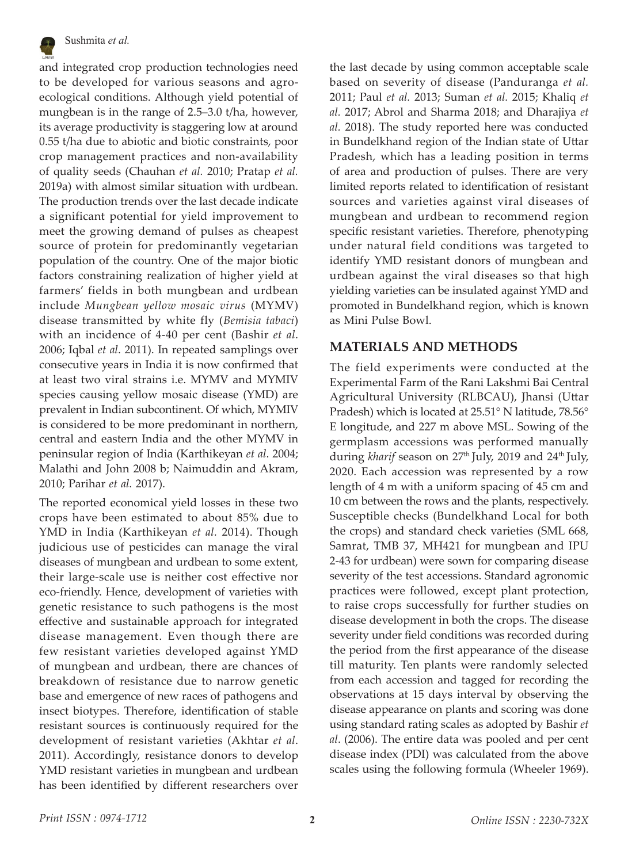

and integrated crop production technologies need to be developed for various seasons and agroecological conditions. Although yield potential of mungbean is in the range of 2.5–3.0 t/ha, however, its average productivity is staggering low at around 0.55 t/ha due to abiotic and biotic constraints, poor crop management practices and non-availability of quality seeds (Chauhan *et al.* 2010; Pratap *et al.* 2019a) with almost similar situation with urdbean. The production trends over the last decade indicate a significant potential for yield improvement to meet the growing demand of pulses as cheapest source of protein for predominantly vegetarian population of the country. One of the major biotic factors constraining realization of higher yield at farmers' fields in both mungbean and urdbean include *Mungbean yellow mosaic virus* (MYMV) disease transmitted by white fly (*Bemisia tabaci*) with an incidence of 4-40 per cent (Bashir *et al*. 2006; Iqbal *et al*. 2011). In repeated samplings over consecutive years in India it is now confirmed that at least two viral strains i.e. MYMV and MYMIV species causing yellow mosaic disease (YMD) are prevalent in Indian subcontinent. Of which, MYMIV is considered to be more predominant in northern, central and eastern India and the other MYMV in peninsular region of India (Karthikeyan *et al*. 2004; Malathi and John 2008 b; Naimuddin and Akram, 2010; Parihar *et al.* 2017).

The reported economical yield losses in these two crops have been estimated to about 85% due to YMD in India (Karthikeyan *et al.* 2014). Though judicious use of pesticides can manage the viral diseases of mungbean and urdbean to some extent, their large-scale use is neither cost effective nor eco-friendly. Hence, development of varieties with genetic resistance to such pathogens is the most effective and sustainable approach for integrated disease management. Even though there are few resistant varieties developed against YMD of mungbean and urdbean, there are chances of breakdown of resistance due to narrow genetic base and emergence of new races of pathogens and insect biotypes. Therefore, identification of stable resistant sources is continuously required for the development of resistant varieties (Akhtar *et al*. 2011). Accordingly, resistance donors to develop YMD resistant varieties in mungbean and urdbean has been identified by different researchers over

the last decade by using common acceptable scale based on severity of disease (Panduranga *et al.* 2011; Paul *et al.* 2013; Suman *et al.* 2015; Khaliq *et al.* 2017; Abrol and Sharma 2018; and Dharajiya *et al.* 2018). The study reported here was conducted in Bundelkhand region of the Indian state of Uttar Pradesh, which has a leading position in terms of area and production of pulses. There are very limited reports related to identification of resistant sources and varieties against viral diseases of mungbean and urdbean to recommend region specific resistant varieties. Therefore, phenotyping under natural field conditions was targeted to identify YMD resistant donors of mungbean and urdbean against the viral diseases so that high yielding varieties can be insulated against YMD and promoted in Bundelkhand region, which is known as Mini Pulse Bowl.

### **MATERIALS AND METHODS**

The field experiments were conducted at the Experimental Farm of the Rani Lakshmi Bai Central Agricultural University (RLBCAU), Jhansi (Uttar Pradesh) which is located at 25.51° N latitude, 78.56° E longitude, and 227 m above MSL. Sowing of the germplasm accessions was performed manually during *kharif* season on 27<sup>th</sup> July, 2019 and 24<sup>th</sup> July, 2020. Each accession was represented by a row length of 4 m with a uniform spacing of 45 cm and 10 cm between the rows and the plants, respectively. Susceptible checks (Bundelkhand Local for both the crops) and standard check varieties (SML 668, Samrat, TMB 37, MH421 for mungbean and IPU 2-43 for urdbean) were sown for comparing disease severity of the test accessions. Standard agronomic practices were followed, except plant protection, to raise crops successfully for further studies on disease development in both the crops. The disease severity under field conditions was recorded during the period from the first appearance of the disease till maturity. Ten plants were randomly selected from each accession and tagged for recording the observations at 15 days interval by observing the disease appearance on plants and scoring was done using standard rating scales as adopted by Bashir *et al*. (2006). The entire data was pooled and per cent disease index (PDI) was calculated from the above scales using the following formula (Wheeler 1969).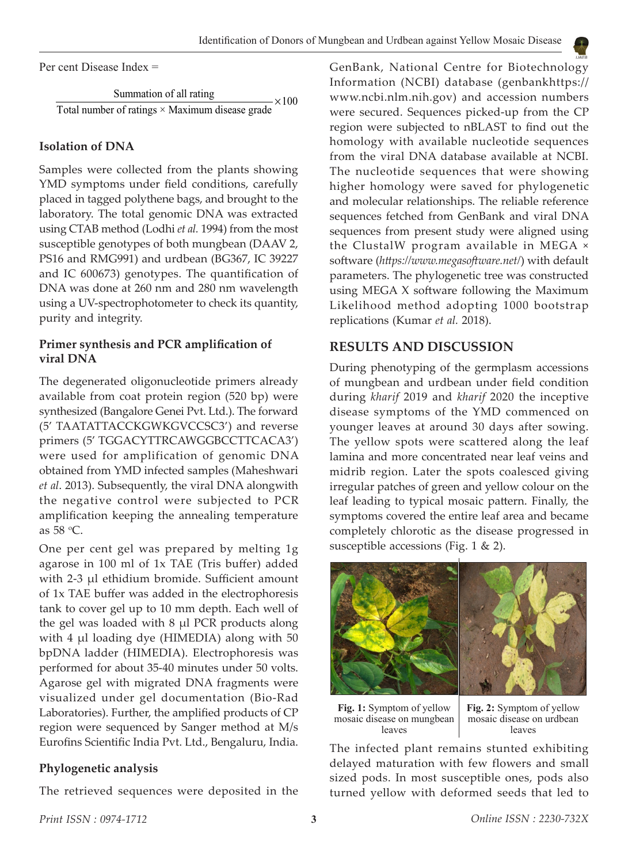Per cent Disease Index =

Summation of all rating Total number of ratings  $\times$  Maximum disease grade  $\times100$ 

### **Isolation of DNA**

Samples were collected from the plants showing YMD symptoms under field conditions, carefully placed in tagged polythene bags, and brought to the laboratory. The total genomic DNA was extracted using CTAB method (Lodhi *et al.* 1994) from the most susceptible genotypes of both mungbean (DAAV 2, PS16 and RMG991) and urdbean (BG367, IC 39227 and IC 600673) genotypes. The quantification of DNA was done at 260 nm and 280 nm wavelength using a UV-spectrophotometer to check its quantity, purity and integrity.

## **Primer synthesis and PCR amplification of viral DNA**

The degenerated oligonucleotide primers already available from coat protein region (520 bp) were synthesized (Bangalore Genei Pvt. Ltd.). The forward (5' TAATATTACCKGWKGVCCSC3') and reverse primers (5' TGGACYTTRCAWGGBCCTTCACA3') were used for amplification of genomic DNA obtained from YMD infected samples (Maheshwari *et al*. 2013). Subsequently, the viral DNA alongwith the negative control were subjected to PCR amplification keeping the annealing temperature as 58 o C.

One per cent gel was prepared by melting 1g agarose in 100 ml of 1x TAE (Tris buffer) added with 2-3 µl ethidium bromide. Sufficient amount of 1x TAE buffer was added in the electrophoresis tank to cover gel up to 10 mm depth. Each well of the gel was loaded with 8 µl PCR products along with 4 µl loading dye (HIMEDIA) along with 50 bpDNA ladder (HIMEDIA). Electrophoresis was performed for about 35-40 minutes under 50 volts. Agarose gel with migrated DNA fragments were visualized under gel documentation (Bio-Rad Laboratories). Further, the amplified products of CP region were sequenced by Sanger method at M/s Eurofins Scientific India Pvt. Ltd., Bengaluru, India.

#### **Phylogenetic analysis**

The retrieved sequences were deposited in the

GenBank, National Centre for Biotechnology Information (NCBI) database (genbankhttps:// www.ncbi.nlm.nih.gov) and accession numbers were secured. Sequences picked-up from the CP region were subjected to nBLAST to find out the homology with available nucleotide sequences from the viral DNA database available at NCBI. The nucleotide sequences that were showing higher homology were saved for phylogenetic and molecular relationships. The reliable reference sequences fetched from GenBank and viral DNA sequences from present study were aligned using the ClustalW program available in MEGA × software (*https://www.megasoftware.net/*) with default parameters. The phylogenetic tree was constructed using MEGA X software following the Maximum Likelihood method adopting 1000 bootstrap replications (Kumar *et al.* 2018).

## **RESULTS AND DISCUSSION**

During phenotyping of the germplasm accessions of mungbean and urdbean under field condition during *kharif* 2019 and *kharif* 2020 the inceptive disease symptoms of the YMD commenced on younger leaves at around 30 days after sowing. The yellow spots were scattered along the leaf lamina and more concentrated near leaf veins and midrib region. Later the spots coalesced giving irregular patches of green and yellow colour on the leaf leading to typical mosaic pattern. Finally, the symptoms covered the entire leaf area and became completely chlorotic as the disease progressed in susceptible accessions (Fig. 1 & 2).



**Fig. 1:** Symptom of yellow mosaic disease on mungbean leaves

**Fig. 2:** Symptom of yellow mosaic disease on urdbean leaves

The infected plant remains stunted exhibiting delayed maturation with few flowers and small sized pods. In most susceptible ones, pods also turned yellow with deformed seeds that led to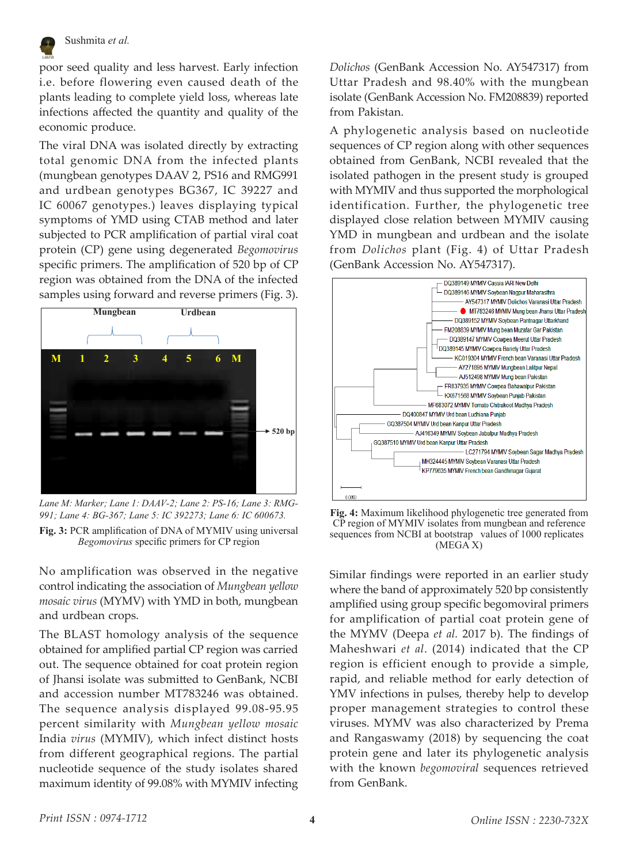

poor seed quality and less harvest. Early infection i.e. before flowering even caused death of the plants leading to complete yield loss, whereas late infections affected the quantity and quality of the economic produce.

The viral DNA was isolated directly by extracting total genomic DNA from the infected plants (mungbean genotypes DAAV 2, PS16 and RMG991 and urdbean genotypes BG367, IC 39227 and IC 60067 genotypes.) leaves displaying typical symptoms of YMD using CTAB method and later subjected to PCR amplification of partial viral coat protein (CP) gene using degenerated *Begomovirus*  specific primers. The amplification of 520 bp of CP region was obtained from the DNA of the infected samples using forward and reverse primers (Fig. 3).



*Lane M: Marker; Lane 1: DAAV-2; Lane 2: PS-16; Lane 3: RMG-991; Lane 4: BG-367; Lane 5: IC 392273; Lane 6: IC 600673.* **Fig. 3:** PCR amplification of DNA of MYMIV using universal *Begomovirus* specific primers for CP region

No amplification was observed in the negative control indicating the association of *Mungbean yellow mosaic virus* (MYMV) with YMD in both, mungbean and urdbean crops.

The BLAST homology analysis of the sequence obtained for amplified partial CP region was carried out. The sequence obtained for coat protein region of Jhansi isolate was submitted to GenBank, NCBI and accession number MT783246 was obtained. The sequence analysis displayed 99.08-95.95 percent similarity with *Mungbean yellow mosaic*  India *virus* (MYMIV), which infect distinct hosts from different geographical regions. The partial nucleotide sequence of the study isolates shared maximum identity of 99.08% with MYMIV infecting

*Dolichos* (GenBank Accession No. AY547317) from Uttar Pradesh and 98.40% with the mungbean isolate (GenBank Accession No. FM208839) reported from Pakistan.

A phylogenetic analysis based on nucleotide sequences of CP region along with other sequences obtained from GenBank, NCBI revealed that the isolated pathogen in the present study is grouped with MYMIV and thus supported the morphological identification. Further, the phylogenetic tree displayed close relation between MYMIV causing YMD in mungbean and urdbean and the isolate from *Dolichos* plant (Fig. 4) of Uttar Pradesh (GenBank Accession No. AY547317).



**Fig. 4:** Maximum likelihood phylogenetic tree generated from CP region of MYMIV isolates from mungbean and reference sequences from NCBI at bootstrap values of 1000 replicates (MEGA X)

Similar findings were reported in an earlier study where the band of approximately 520 bp consistently amplified using group specific begomoviral primers for amplification of partial coat protein gene of the MYMV (Deepa *et al.* 2017 b). The findings of Maheshwari *et al*. (2014) indicated that the CP region is efficient enough to provide a simple, rapid, and reliable method for early detection of YMV infections in pulses, thereby help to develop proper management strategies to control these viruses. MYMV was also characterized by Prema and Rangaswamy (2018) by sequencing the coat protein gene and later its phylogenetic analysis with the known *begomoviral* sequences retrieved from GenBank.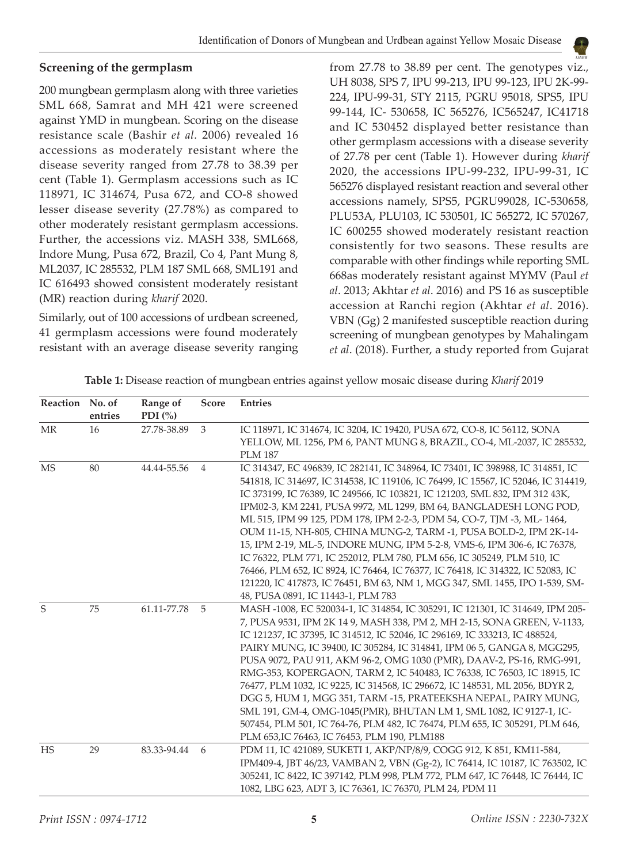#### **Screening of the germplasm**

200 mungbean germplasm along with three varieties SML 668, Samrat and MH 421 were screened against YMD in mungbean. Scoring on the disease resistance scale (Bashir *et al.* 2006) revealed 16 accessions as moderately resistant where the disease severity ranged from 27.78 to 38.39 per cent (Table 1). Germplasm accessions such as IC 118971, IC 314674, Pusa 672, and CO-8 showed lesser disease severity (27.78%) as compared to other moderately resistant germplasm accessions. Further, the accessions viz. MASH 338, SML668, Indore Mung, Pusa 672, Brazil, Co 4, Pant Mung 8, ML2037, IC 285532, PLM 187 SML 668, SML191 and IC 616493 showed consistent moderately resistant (MR) reaction during *kharif* 2020.

Similarly, out of 100 accessions of urdbean screened, 41 germplasm accessions were found moderately resistant with an average disease severity ranging

from 27.78 to 38.89 per cent. The genotypes viz., UH 8038, SPS 7, IPU 99-213, IPU 99-123, IPU 2K-99- 224, IPU-99-31, STY 2115, PGRU 95018, SPS5, IPU 99-144, IC- 530658, IC 565276, IC565247, IC41718 and IC 530452 displayed better resistance than other germplasm accessions with a disease severity of 27.78 per cent (Table 1). However during *kharif* 2020, the accessions IPU-99-232, IPU-99-31, IC 565276 displayed resistant reaction and several other accessions namely, SPS5, PGRU99028, IC-530658, PLU53A, PLU103, IC 530501, IC 565272, IC 570267, IC 600255 showed moderately resistant reaction consistently for two seasons. These results are comparable with other findings while reporting SML 668as moderately resistant against MYMV (Paul *et al*. 2013; Akhtar *et al*. 2016) and PS 16 as susceptible accession at Ranchi region (Akhtar *et al*. 2016). VBN (Gg) 2 manifested susceptible reaction during screening of mungbean genotypes by Mahalingam *et al*. (2018). Further, a study reported from Gujarat

| Reaction No. of | entries | Range of<br>PDI $(%)$ | Score          | <b>Entries</b>                                                                                                                                                                                                                                                                                                                                                                                                                                                                                                                                                                                                                                                                                                                                                                                                                      |  |  |  |
|-----------------|---------|-----------------------|----------------|-------------------------------------------------------------------------------------------------------------------------------------------------------------------------------------------------------------------------------------------------------------------------------------------------------------------------------------------------------------------------------------------------------------------------------------------------------------------------------------------------------------------------------------------------------------------------------------------------------------------------------------------------------------------------------------------------------------------------------------------------------------------------------------------------------------------------------------|--|--|--|
| MR              | 16      | 27.78-38.89           | 3              | IC 118971, IC 314674, IC 3204, IC 19420, PUSA 672, CO-8, IC 56112, SONA<br>YELLOW, ML 1256, PM 6, PANT MUNG 8, BRAZIL, CO-4, ML-2037, IC 285532,<br><b>PLM 187</b>                                                                                                                                                                                                                                                                                                                                                                                                                                                                                                                                                                                                                                                                  |  |  |  |
| <b>MS</b>       | 80      | 44.44-55.56           | $\overline{4}$ | IC 314347, EC 496839, IC 282141, IC 348964, IC 73401, IC 398988, IC 314851, IC<br>541818, IC 314697, IC 314538, IC 119106, IC 76499, IC 15567, IC 52046, IC 314419,<br>IC 373199, IC 76389, IC 249566, IC 103821, IC 121203, SML 832, IPM 312 43K,<br>IPM02-3, KM 2241, PUSA 9972, ML 1299, BM 64, BANGLADESH LONG POD,<br>ML 515, IPM 99 125, PDM 178, IPM 2-2-3, PDM 54, CO-7, TJM -3, ML- 1464,<br>OUM 11-15, NH-805, CHINA MUNG-2, TARM -1, PUSA BOLD-2, IPM 2K-14-<br>15, IPM 2-19, ML-5, INDORE MUNG, IPM 5-2-8, VMS-6, IPM 306-6, IC 76378,<br>IC 76322, PLM 771, IC 252012, PLM 780, PLM 656, IC 305249, PLM 510, IC<br>76466, PLM 652, IC 8924, IC 76464, IC 76377, IC 76418, IC 314322, IC 52083, IC<br>121220, IC 417873, IC 76451, BM 63, NM 1, MGG 347, SML 1455, IPO 1-539, SM-<br>48, PUSA 0891, IC 11443-1, PLM 783 |  |  |  |
| S               | 75      | 61.11-77.78           | 5              | MASH -1008, EC 520034-1, IC 314854, IC 305291, IC 121301, IC 314649, IPM 205-<br>7, PUSA 9531, IPM 2K 14 9, MASH 338, PM 2, MH 2-15, SONA GREEN, V-1133,<br>IC 121237, IC 37395, IC 314512, IC 52046, IC 296169, IC 333213, IC 488524,<br>PAIRY MUNG, IC 39400, IC 305284, IC 314841, IPM 06 5, GANGA 8, MGG295,<br>PUSA 9072, PAU 911, AKM 96-2, OMG 1030 (PMR), DAAV-2, PS-16, RMG-991,<br>RMG-353, KOPERGAON, TARM 2, IC 540483, IC 76338, IC 76503, IC 18915, IC<br>76477, PLM 1032, IC 9225, IC 314568, IC 296672, IC 148531, ML 2056, BDYR 2,<br>DGG 5, HUM 1, MGG 351, TARM -15, PRATEEKSHA NEPAL, PAIRY MUNG,<br>SML 191, GM-4, OMG-1045(PMR), BHUTAN LM 1, SML 1082, IC 9127-1, IC-<br>507454, PLM 501, IC 764-76, PLM 482, IC 76474, PLM 655, IC 305291, PLM 646,<br>PLM 653, IC 76463, IC 76453, PLM 190, PLM188         |  |  |  |
| <b>HS</b>       | 29      | 83.33-94.44           | 6              | PDM 11, IC 421089, SUKETI 1, AKP/NP/8/9, COGG 912, K 851, KM11-584,<br>IPM409-4, JBT 46/23, VAMBAN 2, VBN (Gg-2), IC 76414, IC 10187, IC 763502, IC<br>305241, IC 8422, IC 397142, PLM 998, PLM 772, PLM 647, IC 76448, IC 76444, IC<br>1082, LBG 623, ADT 3, IC 76361, IC 76370, PLM 24, PDM 11                                                                                                                                                                                                                                                                                                                                                                                                                                                                                                                                    |  |  |  |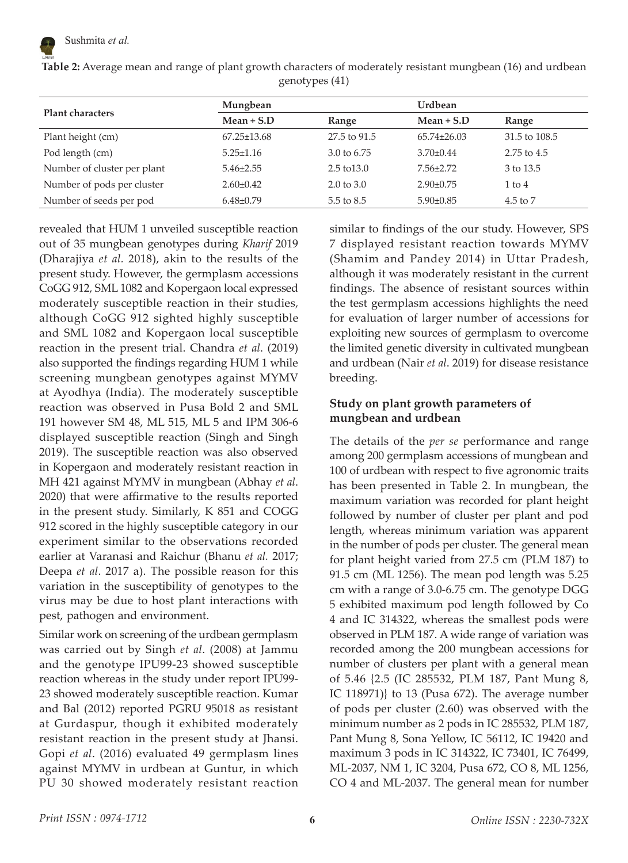

| <b>Plant characters</b>     | Mungbean          |                        | Urdbean           |                     |
|-----------------------------|-------------------|------------------------|-------------------|---------------------|
|                             | $Mean + S.D$      | Range                  | $Mean + S.D$      | Range               |
| Plant height (cm)           | $67.25 \pm 13.68$ | 27.5 to 91.5           | $65.74 \pm 26.03$ | 31.5 to 108.5       |
| Pod length (cm)             | $5.25 \pm 1.16$   | 3.0 to 6.75            | $3.70 \pm 0.44$   | $2.75$ to $4.5$     |
| Number of cluster per plant | $5.46 \pm 2.55$   | $2.5 \text{ to } 13.0$ | $7.56 \pm 2.72$   | 3 to 13.5           |
| Number of pods per cluster  | $2.60 \pm 0.42$   | $2.0 \text{ to } 3.0$  | $2.90 \pm 0.75$   | $1$ to $4$          |
| Number of seeds per pod     | $6.48 \pm 0.79$   | 5.5 to 8.5             | $5.90 \pm 0.85$   | $4.5 \text{ to } 7$ |

**Table 2:** Average mean and range of plant growth characters of moderately resistant mungbean (16) and urdbean genotypes (41)

revealed that HUM 1 unveiled susceptible reaction out of 35 mungbean genotypes during *Kharif* 2019 (Dharajiya *et al.* 2018), akin to the results of the present study. However, the germplasm accessions CoGG 912, SML 1082 and Kopergaon local expressed moderately susceptible reaction in their studies, although CoGG 912 sighted highly susceptible and SML 1082 and Kopergaon local susceptible reaction in the present trial. Chandra *et al*. (2019) also supported the findings regarding HUM 1 while screening mungbean genotypes against MYMV at Ayodhya (India). The moderately susceptible reaction was observed in Pusa Bold 2 and SML 191 however SM 48, ML 515, ML 5 and IPM 306-6 displayed susceptible reaction (Singh and Singh 2019). The susceptible reaction was also observed in Kopergaon and moderately resistant reaction in MH 421 against MYMV in mungbean (Abhay *et al*. 2020) that were affirmative to the results reported in the present study. Similarly, K 851 and COGG 912 scored in the highly susceptible category in our experiment similar to the observations recorded earlier at Varanasi and Raichur (Bhanu *et al.* 2017; Deepa *et al*. 2017 a). The possible reason for this variation in the susceptibility of genotypes to the virus may be due to host plant interactions with pest, pathogen and environment.

Similar work on screening of the urdbean germplasm was carried out by Singh *et al*. (2008) at Jammu and the genotype IPU99-23 showed susceptible reaction whereas in the study under report IPU99- 23 showed moderately susceptible reaction. Kumar and Bal (2012) reported PGRU 95018 as resistant at Gurdaspur, though it exhibited moderately resistant reaction in the present study at Jhansi. Gopi *et al*. (2016) evaluated 49 germplasm lines against MYMV in urdbean at Guntur, in which PU 30 showed moderately resistant reaction similar to findings of the our study. However, SPS 7 displayed resistant reaction towards MYMV (Shamim and Pandey 2014) in Uttar Pradesh, although it was moderately resistant in the current findings. The absence of resistant sources within the test germplasm accessions highlights the need for evaluation of larger number of accessions for exploiting new sources of germplasm to overcome the limited genetic diversity in cultivated mungbean and urdbean (Nair *et al*. 2019) for disease resistance breeding.

### **Study on plant growth parameters of mungbean and urdbean**

The details of the *per se* performance and range among 200 germplasm accessions of mungbean and 100 of urdbean with respect to five agronomic traits has been presented in Table 2. In mungbean, the maximum variation was recorded for plant height followed by number of cluster per plant and pod length, whereas minimum variation was apparent in the number of pods per cluster. The general mean for plant height varied from 27.5 cm (PLM 187) to 91.5 cm (ML 1256). The mean pod length was 5.25 cm with a range of 3.0-6.75 cm. The genotype DGG 5 exhibited maximum pod length followed by Co 4 and IC 314322, whereas the smallest pods were observed in PLM 187. A wide range of variation was recorded among the 200 mungbean accessions for number of clusters per plant with a general mean of 5.46 {2.5 (IC 285532, PLM 187, Pant Mung 8, IC 118971)} to 13 (Pusa 672). The average number of pods per cluster (2.60) was observed with the minimum number as 2 pods in IC 285532, PLM 187, Pant Mung 8, Sona Yellow, IC 56112, IC 19420 and maximum 3 pods in IC 314322, IC 73401, IC 76499, ML-2037, NM 1, IC 3204, Pusa 672, CO 8, ML 1256, CO 4 and ML-2037. The general mean for number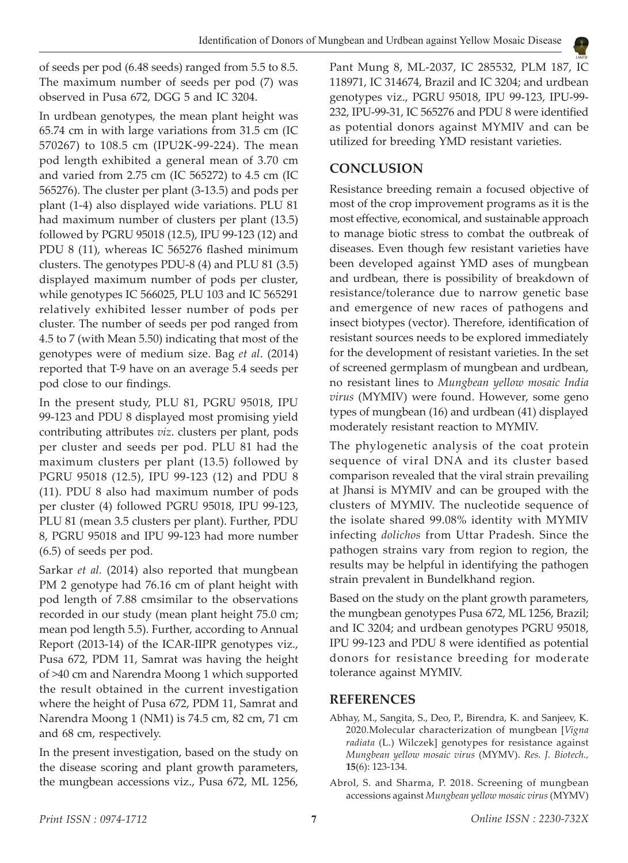

of seeds per pod (6.48 seeds) ranged from 5.5 to 8.5. The maximum number of seeds per pod (7) was observed in Pusa 672, DGG 5 and IC 3204.

In urdbean genotypes, the mean plant height was 65.74 cm in with large variations from 31.5 cm (IC 570267) to 108.5 cm (IPU2K-99-224). The mean pod length exhibited a general mean of 3.70 cm and varied from 2.75 cm (IC 565272) to 4.5 cm (IC 565276). The cluster per plant (3-13.5) and pods per plant (1-4) also displayed wide variations. PLU 81 had maximum number of clusters per plant (13.5) followed by PGRU 95018 (12.5), IPU 99-123 (12) and PDU 8 (11), whereas IC 565276 flashed minimum clusters. The genotypes PDU-8 (4) and PLU 81 (3.5) displayed maximum number of pods per cluster, while genotypes IC 566025, PLU 103 and IC 565291 relatively exhibited lesser number of pods per cluster. The number of seeds per pod ranged from 4.5 to 7 (with Mean 5.50) indicating that most of the genotypes were of medium size. Bag *et al*. (2014) reported that T-9 have on an average 5.4 seeds per pod close to our findings.

In the present study, PLU 81, PGRU 95018, IPU 99-123 and PDU 8 displayed most promising yield contributing attributes *viz*. clusters per plant, pods per cluster and seeds per pod. PLU 81 had the maximum clusters per plant (13.5) followed by PGRU 95018 (12.5), IPU 99-123 (12) and PDU 8 (11). PDU 8 also had maximum number of pods per cluster (4) followed PGRU 95018, IPU 99-123, PLU 81 (mean 3.5 clusters per plant). Further, PDU 8, PGRU 95018 and IPU 99-123 had more number (6.5) of seeds per pod.

Sarkar *et al.* (2014) also reported that mungbean PM 2 genotype had 76.16 cm of plant height with pod length of 7.88 cmsimilar to the observations recorded in our study (mean plant height 75.0 cm; mean pod length 5.5). Further, according to Annual Report (2013-14) of the ICAR-IIPR genotypes viz., Pusa 672, PDM 11, Samrat was having the height of >40 cm and Narendra Moong 1 which supported the result obtained in the current investigation where the height of Pusa 672, PDM 11, Samrat and Narendra Moong 1 (NM1) is 74.5 cm, 82 cm, 71 cm and 68 cm, respectively.

In the present investigation, based on the study on the disease scoring and plant growth parameters, the mungbean accessions viz., Pusa 672, ML 1256, Pant Mung 8, ML-2037, IC 285532, PLM 187, IC 118971, IC 314674, Brazil and IC 3204; and urdbean genotypes viz., PGRU 95018, IPU 99-123, IPU-99- 232, IPU-99-31, IC 565276 and PDU 8 were identified as potential donors against MYMIV and can be utilized for breeding YMD resistant varieties.

# **CONCLUSION**

Resistance breeding remain a focused objective of most of the crop improvement programs as it is the most effective, economical, and sustainable approach to manage biotic stress to combat the outbreak of diseases. Even though few resistant varieties have been developed against YMD ases of mungbean and urdbean, there is possibility of breakdown of resistance/tolerance due to narrow genetic base and emergence of new races of pathogens and insect biotypes (vector). Therefore, identification of resistant sources needs to be explored immediately for the development of resistant varieties. In the set of screened germplasm of mungbean and urdbean, no resistant lines to *Mungbean yellow mosaic India virus* (MYMIV) were found. However, some geno types of mungbean (16) and urdbean (41) displayed moderately resistant reaction to MYMIV.

The phylogenetic analysis of the coat protein sequence of viral DNA and its cluster based comparison revealed that the viral strain prevailing at Jhansi is MYMIV and can be grouped with the clusters of MYMIV. The nucleotide sequence of the isolate shared 99.08% identity with MYMIV infecting *dolichos* from Uttar Pradesh. Since the pathogen strains vary from region to region, the results may be helpful in identifying the pathogen strain prevalent in Bundelkhand region.

Based on the study on the plant growth parameters, the mungbean genotypes Pusa 672, ML 1256, Brazil; and IC 3204; and urdbean genotypes PGRU 95018, IPU 99-123 and PDU 8 were identified as potential donors for resistance breeding for moderate tolerance against MYMIV.

# **REFERENCES**

- Abhay, M., Sangita, S., Deo, P., Birendra, K. and Sanjeev, K. 2020.Molecular characterization of mungbean [*Vigna radiata* (L.) Wilczek] genotypes for resistance against *Mungbean yellow mosaic virus* (MYMV). *Res. J. Biotech.,*  **15**(6): 123-134.
- Abrol, S. and Sharma, P. 2018. Screening of mungbean accessions against *Mungbean yellow mosaic virus* (MYMV)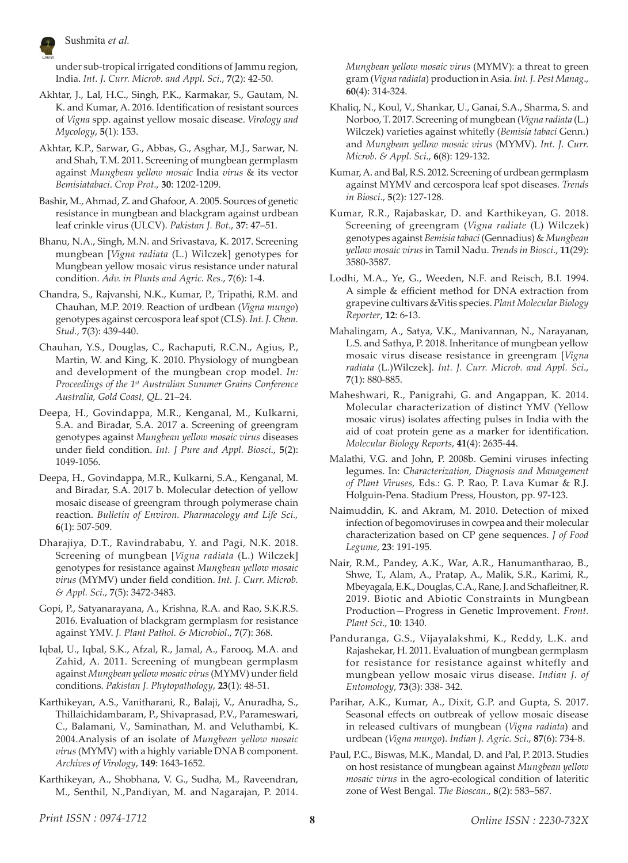

under sub-tropical irrigated conditions of Jammu region, India. *Int. J. Curr. Microb. and Appl. Sci*., **7**(2): 42-50.

- Akhtar, J., Lal, H.C., Singh, P.K., Karmakar, S., Gautam, N. K. and Kumar, A. 2016. Identification of resistant sources of *Vigna* spp. against yellow mosaic disease. *Virology and Mycology*, **5**(1): 153.
- Akhtar, K.P., Sarwar, G., Abbas, G., Asghar, M.J., Sarwar, N. and Shah, T.M. 2011. Screening of mungbean germplasm against *Mungbean yellow mosaic* India *virus* & its vector *Bemisiatabaci*. *Crop Prot*., **30**: 1202-1209.
- Bashir, M., Ahmad, Z. and Ghafoor, A. 2005. Sources of genetic resistance in mungbean and blackgram against urdbean leaf crinkle virus (ULCV). *Pakistan J. Bot*., **37**: 47–51.
- Bhanu, N.A., Singh, M.N. and Srivastava, K. 2017. Screening mungbean [*Vigna radiata* (L.) Wilczek] genotypes for Mungbean yellow mosaic virus resistance under natural condition. *Adv. in Plants and Agric. Res*., **7**(6): 1-4.
- Chandra, S., Rajvanshi, N.K., Kumar, P., Tripathi, R.M. and Chauhan, M.P. 2019. Reaction of urdbean (*Vigna mungo*) genotypes against cercospora leaf spot (CLS). *Int. J. Chem. Stud.,* **7**(3): 439-440.
- Chauhan, Y.S., Douglas, C., Rachaputi, R.C.N., Agius, P., Martin, W. and King, K. 2010. Physiology of mungbean and development of the mungbean crop model. *In: Proceedings of the 1st Australian Summer Grains Conference Australia, Gold Coast, QL*. 21–24.
- Deepa, H., Govindappa, M.R., Kenganal, M., Kulkarni, S.A. and Biradar, S.A. 2017 a. Screening of greengram genotypes against *Mungbean yellow mosaic virus* diseases under field condition. *Int. J Pure and Appl. Biosci*., **5**(2): 1049-1056.
- Deepa, H., Govindappa, M.R., Kulkarni, S.A., Kenganal, M. and Biradar, S.A. 2017 b. Molecular detection of yellow mosaic disease of greengram through polymerase chain reaction. *Bulletin of Environ. Pharmacology and Life Sci.,*  **6**(1): 507-509.
- Dharajiya, D.T., Ravindrababu, Y. and Pagi, N.K. 2018. Screening of mungbean [*Vigna radiata* (L.) Wilczek] genotypes for resistance against *Mungbean yellow mosaic virus* (MYMV) under field condition. *Int. J. Curr. Microb. & Appl. Sci*., **7**(5): 3472-3483.
- Gopi, P., Satyanarayana, A., Krishna, R.A. and Rao, S.K.R.S. 2016. Evaluation of blackgram germplasm for resistance against YMV. *J. Plant Pathol. & Microbiol*., **7**(7): 368.
- Iqbal, U., Iqbal, S.K., Afzal, R., Jamal, A., Farooq, M.A. and Zahid, A. 2011. Screening of mungbean germplasm against *Mungbean yellow mosaic virus* (MYMV) under field conditions. *Pakistan J. Phytopathology*, **23**(1): 48-51.
- Karthikeyan, A.S., Vanitharani, R., Balaji, V., Anuradha, S., Thillaichidambaram, P., Shivaprasad, P.V., Parameswari, C., Balamani, V., Saminathan, M. and Veluthambi, K. 2004.Analysis of an isolate of *Mungbean yellow mosaic virus* (MYMV) with a highly variable DNA B component. *Archives of Virology*, **149**: 1643-1652.
- Karthikeyan, A., Shobhana, V. G., Sudha, M., Raveendran, M., Senthil, N.,Pandiyan, M. and Nagarajan, P. 2014.

*Mungbean yellow mosaic virus* (MYMV): a threat to green gram (*Vigna radiata*) production in Asia. *Int. J. Pest Manag*., **60**(4): 314-324.

- Khaliq, N., Koul, V., Shankar, U., Ganai, S.A., Sharma, S. and Norboo, T. 2017. Screening of mungbean (*Vigna radiata* (L.) Wilczek) varieties against whitefly (*Bemisia tabaci* Genn.) and *Mungbean yellow mosaic virus* (MYMV). *Int. J. Curr. Microb. & Appl. Sci*., **6**(8): 129-132.
- Kumar, A. and Bal, R.S. 2012. Screening of urdbean germplasm against MYMV and cercospora leaf spot diseases. *Trends in Biosci*., **5**(2): 127-128.
- Kumar, R.R., Rajabaskar, D. and Karthikeyan, G. 2018. Screening of greengram (*Vigna radiate* (L) Wilczek) genotypes against *Bemisia tabaci* (Gennadius) & *Mungbean yellow mosaic virus* in Tamil Nadu. *Trends in Biosci*., **11**(29): 3580-3587.
- Lodhi, M.A., Ye, G., Weeden, N.F. and Reisch, B.I. 1994. A simple & efficient method for DNA extraction from grapevine cultivars &Vitis species. *Plant Molecular Biology Reporter*, **12**: 6-13.
- Mahalingam, A., Satya, V.K., Manivannan, N., Narayanan, L.S. and Sathya, P. 2018. Inheritance of mungbean yellow mosaic virus disease resistance in greengram [*Vigna radiata* (L.)Wilczek]. *Int. J. Curr. Microb. and Appl. Sci*., **7**(1): 880-885.
- Maheshwari, R., Panigrahi, G. and Angappan, K. 2014. Molecular characterization of distinct YMV (Yellow mosaic virus) isolates affecting pulses in India with the aid of coat protein gene as a marker for identification. *Molecular Biology Reports*, **41**(4): 2635-44.
- Malathi, V.G. and John, P. 2008b. Gemini viruses infecting legumes. In: *Characterization, Diagnosis and Management of Plant Viruses*, Eds.: G. P. Rao, P. Lava Kumar & R.J. Holguin-Pena. Stadium Press, Houston, pp. 97-123.
- Naimuddin, K. and Akram, M. 2010. Detection of mixed infection of begomoviruses in cowpea and their molecular characterization based on CP gene sequences. *J of Food Legume*, **23**: 191-195.
- Nair, R.M., Pandey, A.K., War, A.R., Hanumantharao, B., Shwe, T., Alam, A., Pratap, A., Malik, S.R., Karimi, R., Mbeyagala,E.K., Douglas, C.A., Rane,J. and Schafleitner,R. 2019. Biotic and Abiotic Constraints in Mungbean Production—Progress in Genetic Improvement. *Front. Plant Sci*., **10**: 1340.
- Panduranga, G.S., Vijayalakshmi, K., Reddy, L.K. and Rajashekar, H. 2011. Evaluation of mungbean germplasm for resistance for resistance against whitefly and mungbean yellow mosaic virus disease. *Indian J. of Entomology*, **73**(3): 338- 342.
- Parihar, A.K., Kumar, A., Dixit, G.P. and Gupta, S. 2017. Seasonal effects on outbreak of yellow mosaic disease in released cultivars of mungbean (*Vigna radiata*) and urdbean (*Vigna mungo*). *Indian J. Agric. Sci*., **87**(6): 734-8.
- Paul, P.C., Biswas, M.K., Mandal, D. and Pal, P. 2013. Studies on host resistance of mungbean against *Mungbean yellow mosaic virus* in the agro-ecological condition of lateritic zone of West Bengal. *The Bioscan*., **8**(2): 583–587.